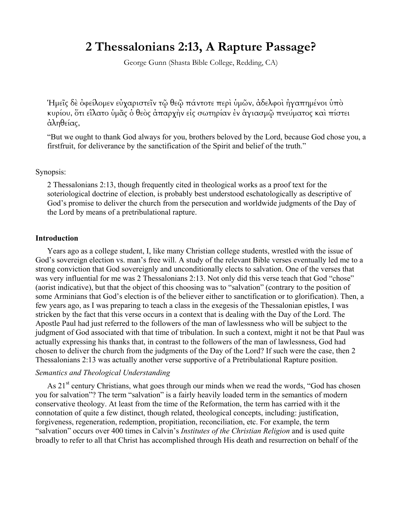# **2 Thessalonians 2:13, A Rapture Passage?**

George Gunn (Shasta Bible College, Redding, CA)

Ἡµεῖς δὲ ὀφείλοµεν εὐχαριστεῖν τῷ θεῷ πάντοτε περὶ ὑµῶν, ἀδελφοὶ ἠγαπηµένοι ὑπὸ κυρίου, ὅτι εἵλατο ὑµᾶς ὁ θεὸς ἀπαρχὴν εἰς σωτηρίαν ἐν ἁγιασµῷ πνεύµατος καὶ πίστει ἀληθείας,

"But we ought to thank God always for you, brothers beloved by the Lord, because God chose you, a firstfruit, for deliverance by the sanctification of the Spirit and belief of the truth."

### Synopsis:

2 Thessalonians 2:13, though frequently cited in theological works as a proof text for the soteriological doctrine of election, is probably best understood eschatologically as descriptive of God's promise to deliver the church from the persecution and worldwide judgments of the Day of the Lord by means of a pretribulational rapture.

#### **Introduction**

 Years ago as a college student, I, like many Christian college students, wrestled with the issue of God's sovereign election vs. man's free will. A study of the relevant Bible verses eventually led me to a strong conviction that God sovereignly and unconditionally elects to salvation. One of the verses that was very influential for me was 2 Thessalonians 2:13. Not only did this verse teach that God "chose" (aorist indicative), but that the object of this choosing was to "salvation" (contrary to the position of some Arminians that God's election is of the believer either to sanctification or to glorification). Then, a few years ago, as I was preparing to teach a class in the exegesis of the Thessalonian epistles, I was stricken by the fact that this verse occurs in a context that is dealing with the Day of the Lord. The Apostle Paul had just referred to the followers of the man of lawlessness who will be subject to the judgment of God associated with that time of tribulation. In such a context, might it not be that Paul was actually expressing his thanks that, in contrast to the followers of the man of lawlessness, God had chosen to deliver the church from the judgments of the Day of the Lord? If such were the case, then 2 Thessalonians 2:13 was actually another verse supportive of a Pretribulational Rapture position.

#### *Semantics and Theological Understanding*

As  $21<sup>st</sup>$  century Christians, what goes through our minds when we read the words, "God has chosen you for salvation"? The term "salvation" is a fairly heavily loaded term in the semantics of modern conservative theology. At least from the time of the Reformation, the term has carried with it the connotation of quite a few distinct, though related, theological concepts, including: justification, forgiveness, regeneration, redemption, propitiation, reconciliation, etc. For example, the term "salvation" occurs over 400 times in Calvin's *Institutes of the Christian Religion* and is used quite broadly to refer to all that Christ has accomplished through His death and resurrection on behalf of the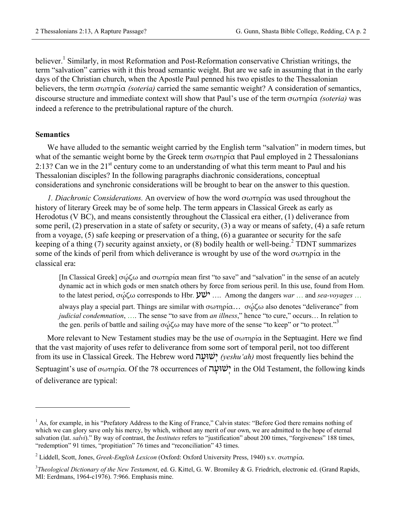believer.<sup>1</sup> Similarly, in most Reformation and Post-Reformation conservative Christian writings, the term "salvation" carries with it this broad semantic weight. But are we safe in assuming that in the early days of the Christian church, when the Apostle Paul penned his two epistles to the Thessalonian believers, the term σωτηρία *(soteria)* carried the same semantic weight? A consideration of semantics, discourse structure and immediate context will show that Paul's use of the term σωτηρία *(soteria)* was indeed a reference to the pretribulational rapture of the church.

## **Semantics**

1

 We have alluded to the semantic weight carried by the English term "salvation" in modern times, but what of the semantic weight borne by the Greek term σωτηρία that Paul employed in 2 Thessalonians 2:13? Can we in the  $21^{st}$  century come to an understanding of what this term meant to Paul and his Thessalonian disciples? In the following paragraphs diachronic considerations, conceptual considerations and synchronic considerations will be brought to bear on the answer to this question.

 *1. Diachronic Considerations.* An overview of how the word σωτηρία was used throughout the history of literary Greek may be of some help. The term appears in Classical Greek as early as Herodotus (V BC), and means consistently throughout the Classical era either, (1) deliverance from some peril, (2) preservation in a state of safety or security, (3) a way or means of safety, (4) a safe return from a voyage, (5) safe keeping or preservation of a thing, (6) a guarantee or security for the safe keeping of a thing  $(7)$  security against anxiety, or  $(8)$  bodily health or well-being.<sup>2</sup> TDNT summarizes some of the kinds of peril from which deliverance is wrought by use of the word σωτηρία in the classical era:

[In Classical Greek]  $\sigma\omega\zeta\omega$  and  $\sigma\omega\tau\eta\rho\zeta\alpha$  mean first "to save" and "salvation" in the sense of an acutely dynamic act in which gods or men snatch others by force from serious peril. In this use, found from Hom. to the latest period, σώζω corresponds to Hbr.  $\mathcal{V} \mathcal{V}$ ... Among the dangers *war* ... and *sea-voyages* ...

always play a special part. Things are similar with σωτηρία... σώζω also denotes "deliverance" from *judicial condemnation*, …. The sense "to save from *an illness*," hence "to cure," occurs… In relation to the gen. perils of battle and sailing  $\sigma\omega\zeta\omega$  may have more of the sense "to keep" or "to protect."<sup>3</sup>

More relevant to New Testament studies may be the use of σωτηρία in the Septuagint. Here we find that the vast majority of uses refer to deliverance from some sort of temporal peril, not too different from its use in Classical Greek. The Hebrew word שׁוּעהָ יְ*) yeshu'ah)* most frequently lies behind the Septuagint's use of σωτηρία. Of the 78 occurrences of שׁוּעהָ יְ in the Old Testament, the following kinds of deliverance are typical:

<sup>&</sup>lt;sup>1</sup> As, for example, in his "Prefatory Address to the King of France," Calvin states: "Before God there remains nothing of which we can glory save only his mercy, by which, without any merit of our own, we are admitted to the hope of eternal salvation (lat. *salvi*)." By way of contrast, the *Institutes* refers to "justification" about 200 times, "forgiveness" 188 times, "redemption" 91 times, "propitiation" 76 times and "reconciliation" 43 times.

<sup>2</sup> Liddell, Scott, Jones, *Greek-English Lexicon* (Oxford: Oxford University Press, 1940) s.v. σωτηρία.

<sup>3</sup> *Theological Dictionary of the New Testament*, ed. G. Kittel, G. W. Bromiley & G. Friedrich, electronic ed. (Grand Rapids, MI: Eerdmans, 1964-c1976). 7:966. Emphasis mine.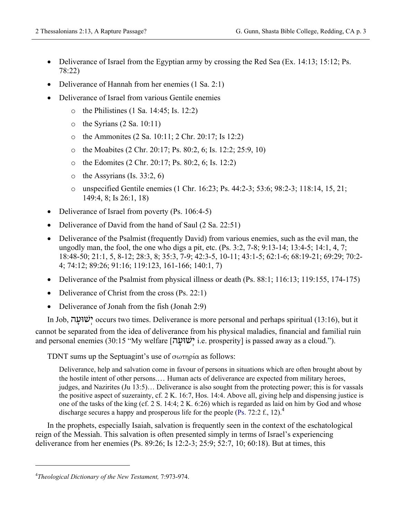- Deliverance of Israel from the Egyptian army by crossing the Red Sea (Ex. 14:13; 15:12; Ps. 78:22)
- Deliverance of Hannah from her enemies (1 Sa. 2:1)
- Deliverance of Israel from various Gentile enemies
	- o the Philistines (1 Sa. 14:45; Is. 12:2)
	- $\circ$  the Syrians (2 Sa. 10:11)
	- o the Ammonites (2 Sa. 10:11; 2 Chr. 20:17; Is 12:2)
	- o the Moabites (2 Chr. 20:17; Ps. 80:2, 6; Is. 12:2; 25:9, 10)
	- o the Edomites (2 Chr. 20:17; Ps. 80:2, 6; Is. 12:2)
	- $\circ$  the Assyrians (Is. 33:2, 6)
	- o unspecified Gentile enemies (1 Chr. 16:23; Ps. 44:2-3; 53:6; 98:2-3; 118:14, 15, 21; 149:4, 8; Is 26:1, 18)
- Deliverance of Israel from poverty (Ps. 106:4-5)
- Deliverance of David from the hand of Saul (2 Sa. 22:51)
- Deliverance of the Psalmist (frequently David) from various enemies, such as the evil man, the ungodly man, the fool, the one who digs a pit, etc. (Ps. 3:2, 7-8; 9:13-14; 13:4-5; 14:1, 4, 7; 18:48-50; 21:1, 5, 8-12; 28:3, 8; 35:3, 7-9; 42:3-5, 10-11; 43:1-5; 62:1-6; 68:19-21; 69:29; 70:2- 4; 74:12; 89:26; 91:16; 119:123, 161-166; 140:1, 7)
- Deliverance of the Psalmist from physical illness or death (Ps. 88:1; 116:13; 119:155, 174-175)
- Deliverance of Christ from the cross (Ps. 22:1)
- Deliverance of Jonah from the fish (Jonah 2:9)

In Job, שׁוּעהָ יְ occurs two times. Deliverance is more personal and perhaps spiritual (13:16), but it cannot be separated from the idea of deliverance from his physical maladies, financial and familial ruin and personal enemies (30:15 "My welfare [שׁוּעהָ יְ i.e. prosperity] is passed away as a cloud.").

TDNT sums up the Septuagint's use of σωτηρία as follows:

Deliverance, help and salvation come in favour of persons in situations which are often brought about by the hostile intent of other persons.… Human acts of deliverance are expected from military heroes, judges, and Nazirites (Ju 13:5)… Deliverance is also sought from the protecting power; this is for vassals the positive aspect of suzerainty, cf. 2 K. 16:7, Hos. 14:4. Above all, giving help and dispensing justice is one of the tasks of the king (cf. 2 S. 14:4; 2 K. 6:26) which is regarded as laid on him by God and whose discharge secures a happy and prosperous life for the people (Ps. 72:2 f., 12).<sup>4</sup>

In the prophets, especially Isaiah, salvation is frequently seen in the context of the eschatological reign of the Messiah. This salvation is often presented simply in terms of Israel's experiencing deliverance from her enemies (Ps. 89:26; Is 12:2-3; 25:9; 52:7, 10; 60:18). But at times, this

 $\overline{a}$ 

<sup>4</sup> *Theological Dictionary of the New Testament,* 7:973-974.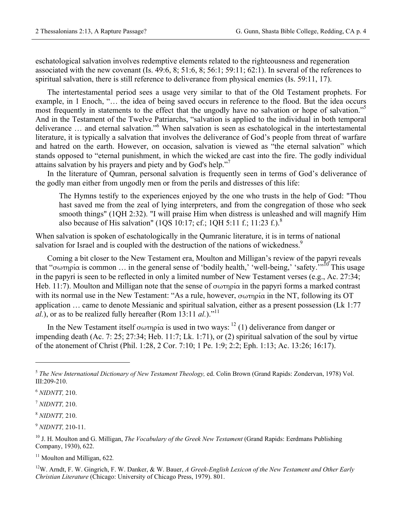eschatological salvation involves redemptive elements related to the righteousness and regeneration associated with the new covenant (Is. 49:6, 8; 51:6, 8; 56:1; 59:11; 62:1). In several of the references to spiritual salvation, there is still reference to deliverance from physical enemies (Is. 59:11, 17).

The intertestamental period sees a usage very similar to that of the Old Testament prophets. For example, in 1 Enoch, "… the idea of being saved occurs in reference to the flood. But the idea occurs most frequently in statements to the effect that the ungodly have no salvation or hope of salvation." And in the Testament of the Twelve Patriarchs, "salvation is applied to the individual in both temporal deliverance ... and eternal salvation."<sup>6</sup> When salvation is seen as eschatological in the intertestamental literature, it is typically a salvation that involves the deliverance of God's people from threat of warfare and hatred on the earth. However, on occasion, salvation is viewed as "the eternal salvation" which stands opposed to "eternal punishment, in which the wicked are cast into the fire. The godly individual attains salvation by his prayers and piety and by God's help."<sup>7</sup>

 In the literature of Qumran, personal salvation is frequently seen in terms of God's deliverance of the godly man either from ungodly men or from the perils and distresses of this life:

The Hymns testify to the experiences enjoyed by the one who trusts in the help of God: "Thou hast saved me from the zeal of lying interpreters, and from the congregation of those who seek smooth things" (1QH 2:32). "I will praise Him when distress is unleashed and will magnify Him also because of His salvation" (1QS 10:17; cf.; 1QH 5:11 f.; 11:23 f.).<sup>8</sup>

When salvation is spoken of eschatologically in the Qumranic literature, it is in terms of national salvation for Israel and is coupled with the destruction of the nations of wickedness.<sup>9</sup>

 Coming a bit closer to the New Testament era, Moulton and Milligan's review of the papyri reveals that "σωτηρία is common ... in the general sense of 'bodily health,' 'well-being,' 'safety.'"<sup>10</sup> This usage in the papyri is seen to be reflected in only a limited number of New Testament verses (e.g., Ac. 27:34; Heb. 11:7). Moulton and Milligan note that the sense of σωτηρία in the papyri forms a marked contrast with its normal use in the New Testament: "As a rule, however, σωτηρία in the NT, following its OT application … came to denote Messianic and spiritual salvation, either as a present possession (Lk 1:77 *al.*), or as to be realized fully hereafter (Rom 13:11 *al.*)."<sup>11</sup>

In the New Testament itself σωτηρία is used in two ways: <sup>12</sup> (1) deliverance from danger or impending death (Ac. 7: 25; 27:34; Heb. 11:7; Lk. 1:71), or (2) spiritual salvation of the soul by virtue of the atonement of Christ (Phil. 1:28, 2 Cor. 7:10; 1 Pe. 1:9; 2:2; Eph. 1:13; Ac. 13:26; 16:17).

1

<sup>5</sup> *The New International Dictionary of New Testament Theology,* ed. Colin Brown (Grand Rapids: Zondervan, 1978) Vol. III:209-210.

<sup>6</sup> *NIDNTT,* 210.

<sup>7</sup> *NIDNTT,* 210.

<sup>8</sup> *NIDNTT,* 210.

<sup>9</sup> *NIDNTT,* 210-11.

<sup>&</sup>lt;sup>10</sup> J. H. Moulton and G. Milligan, *The Vocabulary of the Greek New Testament* (Grand Rapids: Eerdmans Publishing Company, 1930), 622.

<sup>&</sup>lt;sup>11</sup> Moulton and Milligan, 622.

<sup>12</sup>W. Arndt, F. W. Gingrich, F. W. Danker, & W. Bauer, *A Greek-English Lexicon of the New Testament and Other Early Christian Literature* (Chicago: University of Chicago Press, 1979). 801.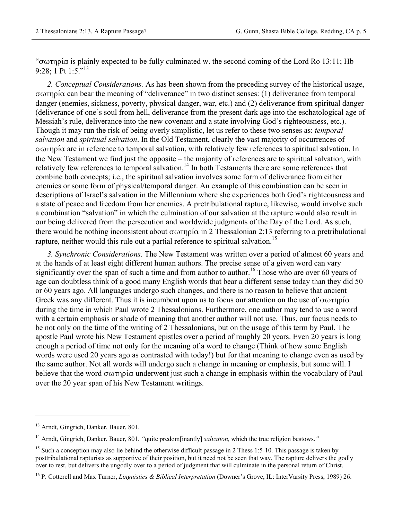"σωτηρία is plainly expected to be fully culminated w. the second coming of the Lord Ro 13:11; Hb 9:28; 1 Pt 1:5."<sup>13</sup>

 *2. Conceptual Considerations.* As has been shown from the preceding survey of the historical usage, σωτηρία can bear the meaning of "deliverance" in two distinct senses: (1) deliverance from temporal danger (enemies, sickness, poverty, physical danger, war, etc.) and (2) deliverance from spiritual danger (deliverance of one's soul from hell, deliverance from the present dark age into the eschatological age of Messiah's rule, deliverance into the new covenant and a state involving God's righteousness, etc.). Though it may run the risk of being overly simplistic, let us refer to these two senses as: *temporal salvation* and *spiritual salvation*. In the Old Testament, clearly the vast majority of occurrences of σωτηρία are in reference to temporal salvation, with relatively few references to spiritual salvation. In the New Testament we find just the opposite – the majority of references are to spiritual salvation, with relatively few references to temporal salvation.<sup>14</sup> In both Testaments there are some references that combine both concepts; i.e., the spiritual salvation involves some form of deliverance from either enemies or some form of physical/temporal danger. An example of this combination can be seen in descriptions of Israel's salvation in the Millennium where she experiences both God's righteousness and a state of peace and freedom from her enemies. A pretribulational rapture, likewise, would involve such a combination "salvation" in which the culmination of our salvation at the rapture would also result in our being delivered from the persecution and worldwide judgments of the Day of the Lord. As such, there would be nothing inconsistent about σωτηρία in 2 Thessalonian 2:13 referring to a pretribulational rapture, neither would this rule out a partial reference to spiritual salvation.<sup>15</sup>

*3. Synchronic Considerations.* The New Testament was written over a period of almost 60 years and at the hands of at least eight different human authors. The precise sense of a given word can vary significantly over the span of such a time and from author to author.<sup>16</sup> Those who are over 60 years of age can doubtless think of a good many English words that bear a different sense today than they did 50 or 60 years ago. All languages undergo such changes, and there is no reason to believe that ancient Greek was any different. Thus it is incumbent upon us to focus our attention on the use of σωτηρία during the time in which Paul wrote 2 Thessalonians. Furthermore, one author may tend to use a word with a certain emphasis or shade of meaning that another author will not use. Thus, our focus needs to be not only on the time of the writing of 2 Thessalonians, but on the usage of this term by Paul. The apostle Paul wrote his New Testament epistles over a period of roughly 20 years. Even 20 years is long enough a period of time not only for the meaning of a word to change (Think of how some English words were used 20 years ago as contrasted with today!) but for that meaning to change even as used by the same author. Not all words will undergo such a change in meaning or emphasis, but some will. I believe that the word σωτηρία underwent just such a change in emphasis within the vocabulary of Paul over the 20 year span of his New Testament writings.

 $\overline{a}$ 

<sup>&</sup>lt;sup>13</sup> Arndt, Gingrich, Danker, Bauer, 801.

<sup>14</sup> Arndt, Gingrich, Danker, Bauer, 801*. "*quite predom[inantly] *salvation,* which the true religion bestows.*"*

<sup>&</sup>lt;sup>15</sup> Such a conception may also lie behind the otherwise difficult passage in 2 Thess 1:5-10. This passage is taken by posttribulational rapturists as supportive of their position, but it need not be seen that way. The rapture delivers the godly over to rest, but delivers the ungodly over to a period of judgment that will culminate in the personal return of Christ.

<sup>16</sup> P. Cotterell and Max Turner, *Linguistics & Biblical Interpretation* (Downer's Grove, IL: InterVarsity Press, 1989) 26.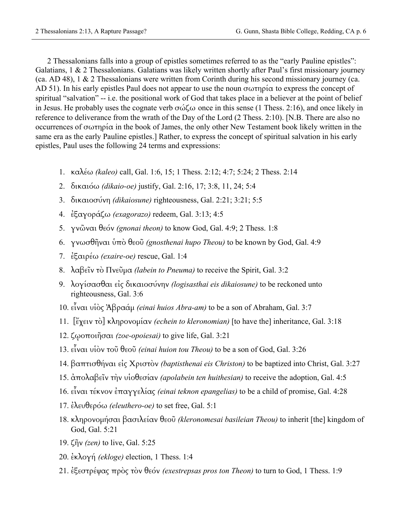2 Thessalonians falls into a group of epistles sometimes referred to as the "early Pauline epistles": Galatians, 1 & 2 Thessalonians. Galatians was likely written shortly after Paul's first missionary journey (ca. AD 48), 1 & 2 Thessalonians were written from Corinth during his second missionary journey (ca. AD 51). In his early epistles Paul does not appear to use the noun σωτηρία to express the concept of spiritual "salvation" -- i.e. the positional work of God that takes place in a believer at the point of belief in Jesus. He probably uses the cognate verb σώζω once in this sense (1 Thess. 2:16), and once likely in reference to deliverance from the wrath of the Day of the Lord (2 Thess. 2:10). [N.B. There are also no occurrences of σωτηρία in the book of James, the only other New Testament book likely written in the same era as the early Pauline epistles.] Rather, to express the concept of spiritual salvation in his early epistles, Paul uses the following 24 terms and expressions:

- 1. καλέω *(kaleo)* call, Gal. 1:6, 15; 1 Thess. 2:12; 4:7; 5:24; 2 Thess. 2:14
- 2. δικαιόω *(dikaio-oe)* justify, Gal. 2:16, 17; 3:8, 11, 24; 5:4
- 3. δικαιοσύνη *(dikaiosune)* righteousness, Gal. 2:21; 3:21; 5:5
- 4. ἐξαγοράζω *(exagorazo)* redeem, Gal. 3:13; 4:5
- 5. γνῶναι θεόν *(gnonai theon)* to know God, Gal. 4:9; 2 Thess. 1:8
- 6. γνωσθῆναι ὑπὸ θεοῦ *(gnosthenai hupo Theou)* to be known by God, Gal. 4:9
- 7. ἐξαιρέω *(exaire-oe)* rescue, Gal. 1:4
- 8. λαβεῖν τὸ Πνεῦµα *(labein to Pneuma)* to receive the Spirit, Gal. 3:2
- 9. λογίσασθαι εἰς δικαιοσύνην *(logisasthai eis dikaiosune)* to be reckoned unto righteousness, Gal. 3:6
- 10. εἶναι υἱὸς Ἀβραάµ *(einai huios Abra-am)* to be a son of Abraham, Gal. 3:7
- 11. [ἔχειν τὸ] κληρονοµίαν *(echein to kleronomian)* [to have the] inheritance, Gal. 3:18
- 12. ζῳοποιῆσαι *(zoe-opoiesai)* to give life, Gal. 3:21
- 13. εἶναι υἱὸν τοῦ θεοῦ *(einai huion tou Theou)* to be a son of God, Gal. 3:26
- 14. βαπτισθήναι εἰς Χριστὸν *(baptisthenai eis Christon)* to be baptized into Christ, Gal. 3:27
- 15. ἀπολαβεῖν τὴν υἱοθεσίαν *(apolabein ten huithesian)* to receive the adoption, Gal. 4:5
- 16. εἶναι τέκνον ἐπαγγελίας *(einai teknon epangelias)* to be a child of promise, Gal. 4:28
- 17. ἐλευθερόω *(eleuthero-oe)* to set free, Gal. 5:1
- 18. κληρονοµήσαι βασιλείαν θεοῦ *(kleronomesai basileian Theou)* to inherit [the] kingdom of God, Gal. 5:21
- 19. ζῆν *(zen)* to live, Gal. 5:25
- 20. ἐκλογή *(ekloge)* election, 1 Thess. 1:4
- 21. ἐξεστρέψας πρὸς τὸν θεόν *(exestrepsas pros ton Theon)* to turn to God, 1 Thess. 1:9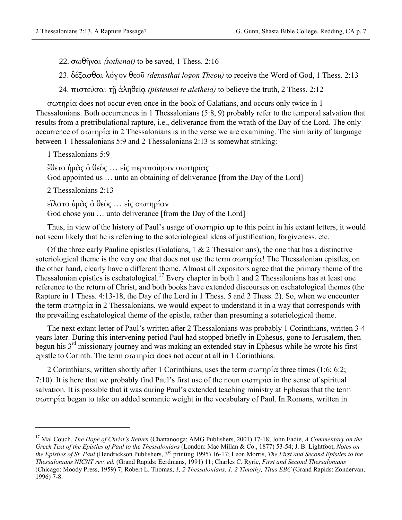22. σωθῆναι (*sothenai)* to be saved, 1 Thess. 2:16

23. δέξασθαι λόγον θεοῦ *(dexasthai logon Theou)* to receive the Word of God, 1 Thess. 2:13

24. πιστεύσαι τῇ ἀληθείᾳ *(pisteusai te aletheia)* to believe the truth, 2 Thess. 2:12

σωτηρία does not occur even once in the book of Galatians, and occurs only twice in 1 Thessalonians. Both occurrences in 1 Thessalonians (5:8, 9) probably refer to the temporal salvation that results from a pretribulational rapture, i.e., deliverance from the wrath of the Day of the Lord. The only occurrence of σωτηρία in 2 Thessalonians is in the verse we are examining. The similarity of language between 1 Thessalonians 5:9 and 2 Thessalonians 2:13 is somewhat striking:

1 Thessalonians 5:9

ἔθετο ἡµᾶς ὁ θεὸς … εἰς περιποίησιν σωτηρίας God appointed us ... unto an obtaining of deliverance [from the Day of the Lord]

2 Thessalonians 2:13

1

εἵλατο ὑµᾶς ὁ θεὸς … εἰς σωτηρίαν God chose you … unto deliverance [from the Day of the Lord]

Thus, in view of the history of Paul's usage of σωτηρία up to this point in his extant letters, it would not seem likely that he is referring to the soteriological ideas of justification, forgiveness, etc.

Of the three early Pauline epistles (Galatians,  $1 \& 2$  Thessalonians), the one that has a distinctive soteriological theme is the very one that does not use the term σωτηρία! The Thessalonian epistles, on the other hand, clearly have a different theme. Almost all expositors agree that the primary theme of the Thessalonian epistles is eschatological.<sup>17</sup> Every chapter in both 1 and 2 Thessalonians has at least one reference to the return of Christ, and both books have extended discourses on eschatological themes (the Rapture in 1 Thess. 4:13-18, the Day of the Lord in 1 Thess. 5 and 2 Thess. 2). So, when we encounter the term  $\sigma \omega \tau \eta \rho i \alpha$  in 2 Thessalonians, we would expect to understand it in a way that corresponds with the prevailing eschatological theme of the epistle, rather than presuming a soteriological theme.

The next extant letter of Paul's written after 2 Thessalonians was probably 1 Corinthians, written 3-4 years later. During this intervening period Paul had stopped briefly in Ephesus, gone to Jerusalem, then begun his 3<sup>rd</sup> missionary journey and was making an extended stay in Ephesus while he wrote his first epistle to Corinth. The term σωτηρία does not occur at all in 1 Corinthians.

2 Corinthians, written shortly after 1 Corinthians, uses the term  $\sigma \omega \tau \eta \rho i \alpha$  three times (1:6; 6:2; 7:10). It is here that we probably find Paul's first use of the noun  $\sigma \omega \tau \eta \rho i \alpha$  in the sense of spiritual salvation. It is possible that it was during Paul's extended teaching ministry at Ephesus that the term σωτηρία began to take on added semantic weight in the vocabulary of Paul. In Romans, written in

<sup>17</sup> Mal Couch, *The Hope of Christ's Return* (Chattanooga: AMG Publishers, 2001) 17-18; John Eadie, *A Commentary on the Greek Text of the Epistles of Paul to the Thessalonians* (London: Mac Millan & Co., 1877) 53-54; J. B. Lightfoot, *Notes on the Epistles of St. Paul* (Hendrickson Publishers, 3rd printing 1995) 16-17; Leon Morris, *The First and Second Epistles to the Thessalonians NICNT rev. ed.* (Grand Rapids: Eerdmans, 1991) 11; Charles C. Ryrie, *First and Second Thessalonians*  (Chicago: Moody Press, 1959) 7; Robert L. Thomas, *1, 2 Thessalonians, 1, 2 Timothy, Titus EBC* (Grand Rapids: Zondervan, 1996) 7-8.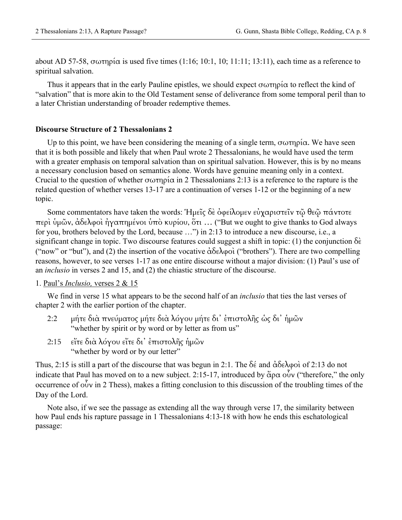about AD 57-58, σωτηρία is used five times  $(1:16; 10:1, 10; 11:11; 13:11)$ , each time as a reference to spiritual salvation.

Thus it appears that in the early Pauline epistles, we should expect  $\sigma\omega\tau\eta\rho\alpha$  to reflect the kind of "salvation" that is more akin to the Old Testament sense of deliverance from some temporal peril than to a later Christian understanding of broader redemptive themes.

#### **Discourse Structure of 2 Thessalonians 2**

Up to this point, we have been considering the meaning of a single term,  $\sigma \omega \tau \eta \rho i \alpha$ . We have seen that it is both possible and likely that when Paul wrote 2 Thessalonians, he would have used the term with a greater emphasis on temporal salvation than on spiritual salvation. However, this is by no means a necessary conclusion based on semantics alone. Words have genuine meaning only in a context. Crucial to the question of whether σωτηρία in 2 Thessalonians 2:13 is a reference to the rapture is the related question of whether verses 13-17 are a continuation of verses 1-12 or the beginning of a new topic.

Some commentators have taken the words: Ἡµεῖς δὲ ὀφείλοµεν εὐχαριστεῖν τῷ θεῷ πάντοτε περὶ ὑµῶν, ἀδελφοὶ ἠγαπηµένοι ὑπὸ κυρίου, ὅτι … ("But we ought to give thanks to God always for you, brothers beloved by the Lord, because …") in 2:13 to introduce a new discourse, i.e., a significant change in topic. Two discourse features could suggest a shift in topic: (1) the conjunction  $\delta \hat{\epsilon}$ ("now" or "but"), and (2) the insertion of the vocative ἀδελφοὶ ("brothers"). There are two compelling reasons, however, to see verses 1-17 as one entire discourse without a major division: (1) Paul's use of an *inclusio* in verses 2 and 15, and (2) the chiastic structure of the discourse.

### 1. Paul's *Inclusio,* verses 2 & 15

We find in verse 15 what appears to be the second half of an *inclusio* that ties the last verses of chapter 2 with the earlier portion of the chapter.

- 2:2 µήτε διὰ πνεύµατος µήτε διὰ λόγου µήτε δι᾽ ἐπιστολῆς ὡς δι᾽ ἡµῶν "whether by spirit or by word or by letter as from us"
- 2:15 εἴτε διὰ λόγου εἴτε δι᾽ ἐπιστολῆς ἡµῶν "whether by word or by our letter"

Thus, 2:15 is still a part of the discourse that was begun in 2:1. The δέ and ἀδελφοὶ of 2:13 do not indicate that Paul has moved on to a new subject. 2:15-17, introduced by άρα οὖν ("therefore," the only occurrence of οὖν in 2 Thess), makes a fitting conclusion to this discussion of the troubling times of the Day of the Lord.

Note also, if we see the passage as extending all the way through verse 17, the similarity between how Paul ends his rapture passage in 1 Thessalonians 4:13-18 with how he ends this eschatological passage: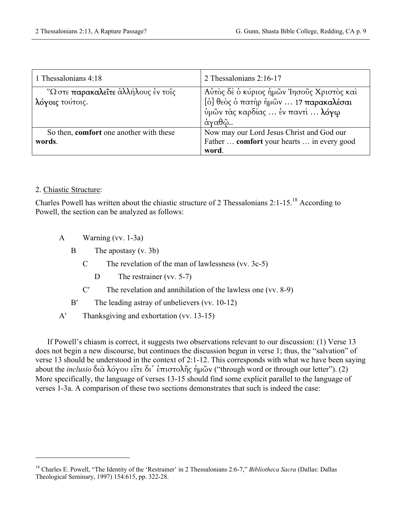| 1 Thessalonians 4:18                                   | 2 Thessalonians $2:16-17$                                                                                                       |
|--------------------------------------------------------|---------------------------------------------------------------------------------------------------------------------------------|
| "Ω στε παρακαλεΐτε άλλήλους έν τοΐς<br>λόγοις τούτοις. | Αυτός δε ο κύριος ημών Ίησους Χριστός και<br>[ο ]θεος ο πατήρ ήμων  17 παρακαλέσαι<br>ύμῶν τὰς καρδίας  ἐν παντὶ  λόγφ<br>άγαθῷ |
| So then, comfort one another with these<br>words.      | Now may our Lord Jesus Christ and God our<br>Father  comfort your hearts  in every good<br>word.                                |

# 2. Chiastic Structure:

 $\overline{a}$ 

Charles Powell has written about the chiastic structure of 2 Thessalonians 2:1-15.18 According to Powell, the section can be analyzed as follows:

A Warning (vv. 1-3a)

B The apostasy (v. 3b)

- C The revelation of the man of lawlessness (vv. 3c-5)
	- D The restrainer (vv. 5-7)
- C′ The revelation and annihilation of the lawless one (vv. 8-9)
- B' The leading astray of unbelievers (vv. 10-12)
- A′ Thanksgiving and exhortation (vv. 13-15)

If Powell's chiasm is correct, it suggests two observations relevant to our discussion: (1) Verse 13 does not begin a new discourse, but continues the discussion begun in verse 1; thus, the "salvation" of verse 13 should be understood in the context of 2:1-12. This corresponds with what we have been saying about the *inclusio* διὰ λόγου εἴτε δι᾽ ἐπιστολῆς ἡµῶν ("through word or through our letter"). (2) More specifically, the language of verses 13-15 should find some explicit parallel to the language of verses 1-3a. A comparison of these two sections demonstrates that such is indeed the case:

<sup>&</sup>lt;sup>18</sup> Charles E. Powell, "The Identity of the 'Restrainer' in 2 Thessalonians 2:6-7," *Bibliotheca Sacra* (Dallas: Dallas Theological Seminary, 1997) 154:615, pp. 322-28.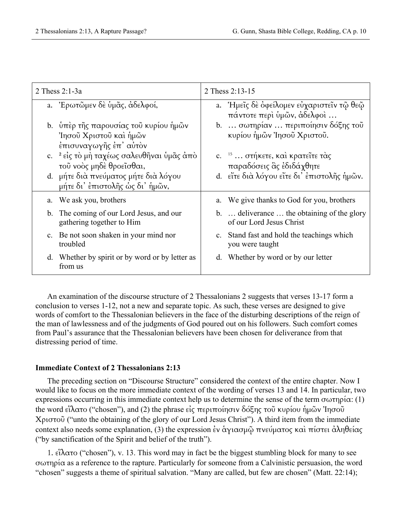|    | 2 Thess $2:1-3a$                                                                          |    | 2 Thess 2:13-15                                                         |
|----|-------------------------------------------------------------------------------------------|----|-------------------------------------------------------------------------|
|    | a. Έρωτῶμεν δε ὑμᾶς, ἀδελφοί,                                                             |    | a. Ήμεῖς δε οφείλομεν εὐχαριστεῖν τῷ θεῷ<br>πάντοτε περί ύμῶν, άδελφοί  |
|    | b. υπέρ της παρουσίας του κυρίου ήμών<br>Ίησοῦ Χριστοῦ καὶ ἡμῶν<br>έπισυναγωγῆς ἐπ' αὐτὸν |    | b.  σωτηρίαν  περιποίησιν δόξης του<br>κυρίου ήμών Ίησοῦ Χριστοῦ.       |
|    | c. <sup>2</sup> είς το μη ταχέως σαλευθῆναι ὑμᾶς ἀπο<br>τοῦ νοὸς μηδὲ θροεῖσθαι,          |    | c. $15 \ldots$ στήκετε, και κρατείτε τας<br>παραδόσεις ἃς έδιδάχθητε    |
| d. | μήτε διὰ πνεύματος μήτε διὰ λόγου<br>μήτε δι' έπιστολῆς ως δι' ἡμῶν,                      |    | d. είτε δια λόγου είτε δι' επιστολής ήμών.                              |
|    | a. We ask you, brothers                                                                   |    | a. We give thanks to God for you, brothers                              |
|    | b. The coming of our Lord Jesus, and our<br>gathering together to Him                     |    | b.  deliverance  the obtaining of the glory<br>of our Lord Jesus Christ |
|    | c. Be not soon shaken in your mind nor<br>troubled                                        |    | c. Stand fast and hold the teachings which<br>you were taught           |
|    | d. Whether by spirit or by word or by letter as<br>from us                                | d. | Whether by word or by our letter                                        |

 An examination of the discourse structure of 2 Thessalonians 2 suggests that verses 13-17 form a conclusion to verses 1-12, not a new and separate topic. As such, these verses are designed to give words of comfort to the Thessalonian believers in the face of the disturbing descriptions of the reign of the man of lawlessness and of the judgments of God poured out on his followers. Such comfort comes from Paul's assurance that the Thessalonian believers have been chosen for deliverance from that distressing period of time.

#### **Immediate Context of 2 Thessalonians 2:13**

The preceding section on "Discourse Structure" considered the context of the entire chapter. Now I would like to focus on the more immediate context of the wording of verses 13 and 14. In particular, two expressions occurring in this immediate context help us to determine the sense of the term  $\sigma \omega \tau \eta \rho i \alpha$ : (1) the word εἵλατο ("chosen"), and (2) the phrase εἰς περιποίησιν δόξης τοῦ κυρίου ἡµῶν Ἰησοῦ Χριστοῦ ("unto the obtaining of the glory of our Lord Jesus Christ"). A third item from the immediate context also needs some explanation, (3) the expression ἐν ἁγιασµῷ πνεύµατος καὶ πίστει ἀληθείας ("by sanctification of the Spirit and belief of the truth").

1. εἵλατο ("chosen"), v. 13. This word may in fact be the biggest stumbling block for many to see σωτηρία as a reference to the rapture. Particularly for someone from a Calvinistic persuasion, the word "chosen" suggests a theme of spiritual salvation. "Many are called, but few are chosen" (Matt. 22:14);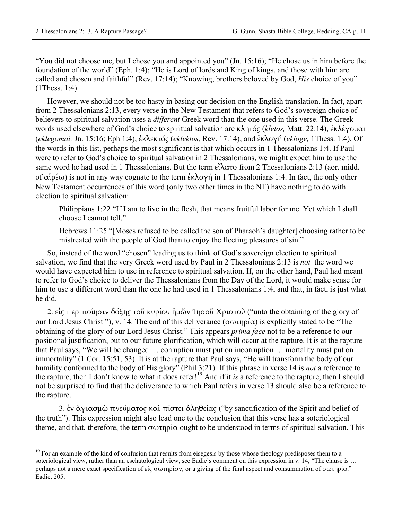1

"You did not choose me, but I chose you and appointed you" (Jn. 15:16); "He chose us in him before the foundation of the world" (Eph. 1:4); "He is Lord of lords and King of kings, and those with him are called and chosen and faithful" (Rev. 17:14); "Knowing, brothers beloved by God, *His* choice of you" (1Thess. 1:4).

However, we should not be too hasty in basing our decision on the English translation. In fact, apart from 2 Thessalonians 2:13, every verse in the New Testament that refers to God's sovereign choice of believers to spiritual salvation uses a *different* Greek word than the one used in this verse. The Greek words used elsewhere of God's choice to spiritual salvation are κλητός (*kletos,* Matt. 22:14), ἐκλέγοµαι (*eklegomai,* Jn. 15:16; Eph 1:4); ἐκλεκτός (*eklektos,* Rev. 17:14); and ἐκλογή (*ekloge,* 1Thess. 1:4). Of the words in this list, perhaps the most significant is that which occurs in 1 Thessalonians 1:4. If Paul were to refer to God's choice to spiritual salvation in 2 Thessalonians, we might expect him to use the same word he had used in 1 Thessalonians. But the term  $\epsilon \hat{i} \lambda \alpha \tau$  from 2 Thessalonians 2:13 (aor. midd. of αἱρέω) is not in any way cognate to the term ἐκλογή in 1 Thessalonians 1:4. In fact, the only other New Testament occurrences of this word (only two other times in the NT) have nothing to do with election to spiritual salvation:

Philippians 1:22 "If I am to live in the flesh, that means fruitful labor for me. Yet which I shall choose I cannot tell."

Hebrews 11:25 "[Moses refused to be called the son of Pharaoh's daughter] choosing rather to be mistreated with the people of God than to enjoy the fleeting pleasures of sin."

So, instead of the word "chosen" leading us to think of God's sovereign election to spiritual salvation, we find that the very Greek word used by Paul in 2 Thessalonians 2:13 is *not* the word we would have expected him to use in reference to spiritual salvation. If, on the other hand, Paul had meant to refer to God's choice to deliver the Thessalonians from the Day of the Lord, it would make sense for him to use a different word than the one he had used in 1 Thessalonians 1:4, and that, in fact, is just what he did.

2. εἰς περιποίησιν δόξης τοῦ κυρίου ἡµῶν Ἰησοῦ Χριστοῦ ("unto the obtaining of the glory of our Lord Jesus Christ "), v. 14. The end of this deliverance (σωτηρία) is explicitly stated to be "The obtaining of the glory of our Lord Jesus Christ." This appears *prima face* not to be a reference to our positional justification, but to our future glorification, which will occur at the rapture. It is at the rapture that Paul says, "We will be changed … corruption must put on incorruption … mortality must put on immortality" (1 Cor. 15:51, 53). It is at the rapture that Paul says, "He will transform the body of our humility conformed to the body of His glory" (Phil 3:21). If this phrase in verse 14 is *not* a reference to the rapture, then I don't know to what it does refer!19 And if it *is* a reference to the rapture, then I should not be surprised to find that the deliverance to which Paul refers in verse 13 should also be a reference to the rapture.

 3. ἐν ἁγιασµῷ πνεύµατος καὶ πίστει ἀληθείας ("by sanctification of the Spirit and belief of the truth"). This expression might also lead one to the conclusion that this verse has a soteriological theme, and that, therefore, the term σωτηρία ought to be understood in terms of spiritual salvation. This

 $19$  For an example of the kind of confusion that results from eisegesis by those whose theology predisposes them to a soteriological view, rather than an eschatological view, see Eadie's comment on this expression in v. 14, "The clause is ... perhaps not a mere exact specification of εἰς σωτηρίαν, or a giving of the final aspect and consummation of σωτηρία." Eadie, 205.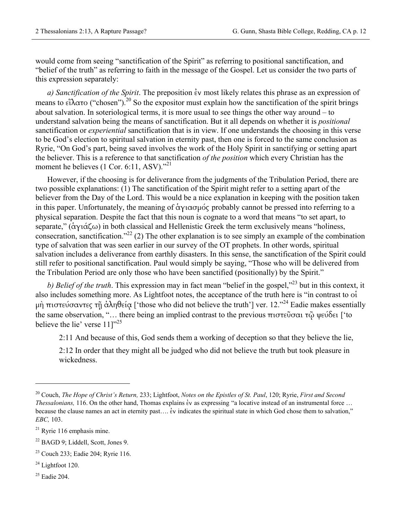would come from seeing "sanctification of the Spirit" as referring to positional sanctification, and "belief of the truth" as referring to faith in the message of the Gospel. Let us consider the two parts of this expression separately:

*a) Sanctification of the Spirit*. The preposition ἐν most likely relates this phrase as an expression of means to εἵλατο ("chosen").20 So the expositor must explain how the sanctification of the spirit brings about salvation. In soteriological terms, it is more usual to see things the other way around – to understand salvation being the means of sanctification. But it all depends on whether it is *positional* sanctification or *experiential* sanctification that is in view. If one understands the choosing in this verse to be God's election to spiritual salvation in eternity past, then one is forced to the same conclusion as Ryrie, "On God's part, being saved involves the work of the Holy Spirit in sanctifying or setting apart the believer. This is a reference to that sanctification *of the position* which every Christian has the moment he believes (1 Cor. 6:11, ASV)."<sup>21</sup>

However, if the choosing is for deliverance from the judgments of the Tribulation Period, there are two possible explanations: (1) The sanctification of the Spirit might refer to a setting apart of the believer from the Day of the Lord. This would be a nice explanation in keeping with the position taken in this paper. Unfortunately, the meaning of ἁγιασµός probably cannot be pressed into referring to a physical separation. Despite the fact that this noun is cognate to a word that means "to set apart, to separate," (ἁγιάζω) in both classical and Hellenistic Greek the term exclusively means "holiness, consecration, sanctification."<sup>22</sup> (2) The other explanation is to see simply an example of the combination type of salvation that was seen earlier in our survey of the OT prophets. In other words, spiritual salvation includes a deliverance from earthly disasters. In this sense, the sanctification of the Spirit could still refer to positional sanctification. Paul would simply be saying, "Those who will be delivered from the Tribulation Period are only those who have been sanctified (positionally) by the Spirit."

*b) Belief of the truth*. This expression may in fact mean "belief in the gospel,"<sup>23</sup> but in this context, it also includes something more. As Lightfoot notes, the acceptance of the truth here is "in contrast to οἱ µὴ πιστεύσαντες τῇ ἀληθείᾳ ['those who did not believe the truth'] ver. 12."24 Eadie makes essentially the same observation, "... there being an implied contrast to the previous πιστεῦσαι τῶ ψεύδει ['to believe the lie' verse  $11$ ]"<sup>25</sup>

2:11 And because of this, God sends them a working of deception so that they believe the lie,

2:12 In order that they might all be judged who did not believe the truth but took pleasure in wickedness.

- $24$  Lightfoot 120.
- $25$  Eadie 204.

1

<sup>20</sup> Couch, *The Hope of Christ's Return,* 233; Lightfoot, *Notes on the Epistles of St. Paul*, 120; Ryrie, *First and Second Thessalonians,* 116. On the other hand, Thomas explains ἐν as expressing "a locative instead of an instrumental force … because the clause names an act in eternity past.... έν indicates the spiritual state in which God chose them to salvation," *EBC,* 103.

 $21$  Ryrie 116 emphasis mine.

<sup>22</sup> BAGD 9; Liddell, Scott, Jones 9.

<sup>23</sup> Couch 233; Eadie 204; Ryrie 116.